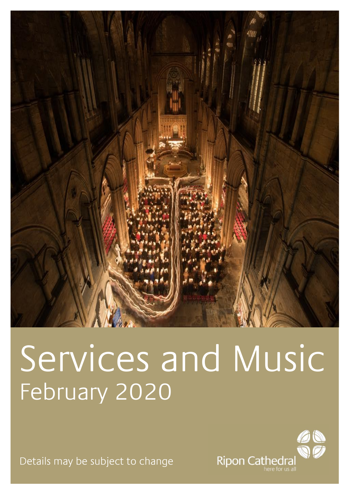

# Services and Music February 2020

Details may be subject to change

Ripon Cathedral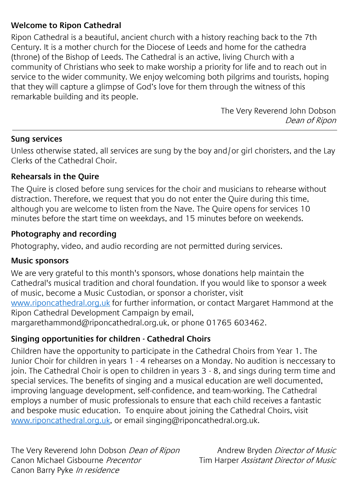#### **Welcome to Ripon Cathedral**

Ripon Cathedral is a beautiful, ancient church with a history reaching back to the 7th Century. It is a mother church for the Diocese of Leeds and home for the cathedra (throne) of the Bishop of Leeds. The Cathedral is an active, living Church with a community of Christians who seek to make worship a priority for life and to reach out in service to the wider community. We enjoy welcoming both pilgrims and tourists, hoping that they will capture a glimpse of God's love for them through the witness of this remarkable building and its people.

> The Very Reverend John Dobson Dean of Ripon

#### **Sung services**

Unless otherwise stated, all services are sung by the boy and/or girl choristers, and the Lay Clerks of the Cathedral Choir.

#### **Rehearsals in the Quire**

The Quire is closed before sung services for the choir and musicians to rehearse without distraction. Therefore, we request that you do not enter the Quire during this time, although you are welcome to listen from the Nave. The Quire opens for services 10 minutes before the start time on weekdays, and 15 minutes before on weekends.

#### **Photography and recording**

Photography, video, and audio recording are not permitted during services.

#### **Music sponsors**

We are very grateful to this month's sponsors, whose donations help maintain the Cathedral's musical tradition and choral foundation. If you would like to sponsor a week of music, become a Music Custodian, or sponsor a chorister, visit www.riponcathedral.org.uk for further information, or contact Margaret Hammond at the Ripon Cathedral Development Campaign by email, margarethammond@riponcathedral.org.uk, or phone 01765 603462.

#### **Singing opportunities for children - Cathedral Choirs**

Children have the opportunity to participate in the Cathedral Choirs from Year 1. The Junior Choir for children in years 1 - 4 rehearses on a Monday. No audition is neccessary to join. The Cathedral Choir is open to children in years 3 - 8, and sings during term time and special services. The benefits of singing and a musical education are well documented, improving language development, self-confidence, and team-working. The Cathedral employs a number of music professionals to ensure that each child receives a fantastic and bespoke music education. To enquire about joining the Cathedral Choirs, visit www.riponcathedral.org.uk, or email singing@riponcathedral.org.uk.

The Very Reverend John Dobson Dean of Ripon Canon Michael Gisbourne Precentor Canon Barry Pyke In residence

Andrew Bryden Director of Music Tim Harper Assistant Director of Music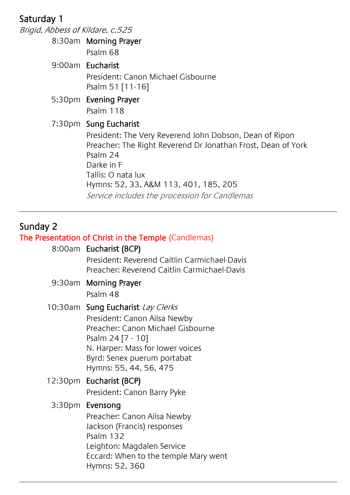#### Saturday 1

Brigid, Abbess of Kildare, c.525 8:30am Morning Prayer Psalm 68 9:00am Eucharist President: Canon Michael Gisbourne Psalm 51 [11-16] 5:30pm Evening Prayer Psalm 118 7:30pm Sung Eucharist Service includes the procession for Candlemas President: The Very Reverend John Dobson, Dean of Ripon Preacher: The Right Reverend Dr Jonathan Frost, Dean of York Psalm 24 Darke in F Tallis: O nata lux Hymns: 52, 33, A&M 113, 401, 185, 205

#### Sunday 2

#### The Presentation of Christ in the Temple (Candlemas)

#### 8:00am Eucharist (BCP)

President: Reverend Caitlin Carmichael-Davis Preacher: Reverend Caitlin Carmichael-Davis

#### 9:30am Morning Prayer

Psalm 48

#### 10:30am Sung Eucharist Lay Clerks

President: Canon Ailsa Newby Preacher: Canon Michael Gisbourne Psalm 24 [7 - 10] N. Harper: Mass for lower voices Byrd: Senex puerum portabat Hymns: 55, 44, 56, 475

#### 12:30pm Eucharist (BCP)

President: Canon Barry Pyke

#### 3:30pm Evensong

Preacher: Canon Ailsa Newby Jackson (Francis) responses Psalm 132 Leighton: Magdalen Service Eccard: When to the temple Mary went Hymns: 52, 360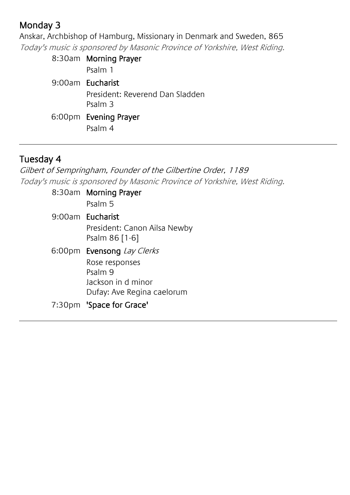# Monday 3

Anskar, Archbishop of Hamburg, Missionary in Denmark and Sweden, 865 Today's music is sponsored by Masonic Province of Yorkshire, West Riding.

| 8:30am Morning Prayer           |
|---------------------------------|
| Psalm 1                         |
| 9:00am Eucharist                |
| President: Reverend Dan Sladden |
| Psalm 3                         |
| 6:00pm Evening Prayer           |
| Psalm 4                         |

#### Tuesday 4

Gilbert of Sempringham, Founder of the Gilbertine Order, 1189 Today's music is sponsored by Masonic Province of Yorkshire, West Riding.

> 8:30am Morning Prayer Psalm 5 9:00am Eucharist President: Canon Ailsa Newby Psalm 86 [1-6] 6:00pm Evensong Lay Clerks Rose responses Psalm 9 Jackson in d minor Dufay: Ave Regina caelorum 7:30pm 'Space for Grace'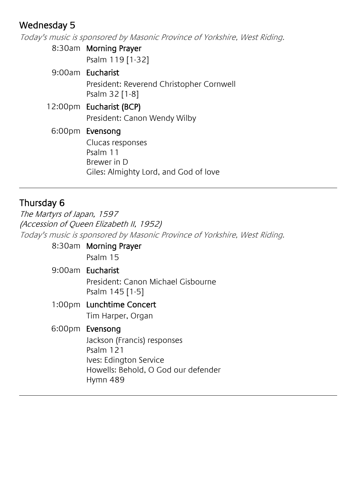# Wednesday 5

Today's music is sponsored by Masonic Province of Yorkshire, West Riding.

8:30am Morning Prayer Psalm 119 [1-32]

|  | 9:00am Eucharist                                           |
|--|------------------------------------------------------------|
|  | President: Reverend Christopher Cornwell<br>Psalm 32 [1-8] |
|  | 12:00pm Eucharist (BCP)                                    |
|  | President: Canon Wendy Wilby                               |
|  | 6:00pm Evensong                                            |
|  | Clucas responses                                           |
|  | Psalm 11                                                   |
|  | Brewer in D                                                |
|  | Giles: Almighty Lord, and God of love                      |

#### Thursday 6

The Martyrs of Japan, 1597 (Accession of Queen Elizabeth II, 1952) Today's music is sponsored by Masonic Province of Yorkshire, West Riding.

| 8:30am Morning Prayer                                 |
|-------------------------------------------------------|
| Psalm 15                                              |
| 9:00am Eucharist                                      |
| President: Canon Michael Gisbourne<br>Psalm 145 [1-5] |
| 1:00pm Lunchtime Concert                              |
| Tim Harper, Organ                                     |
| 6:00pm Evensong                                       |
| Jackson (Francis) responses                           |
| Psalm 121                                             |
| Ives: Edington Service                                |
| Howells: Behold, O God our defender                   |
| Hymn 489                                              |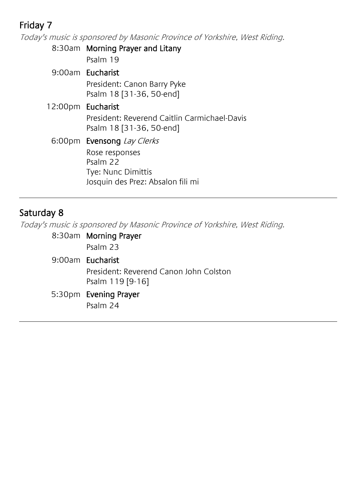# Friday 7

Today's music is sponsored by Masonic Province of Yorkshire, West Riding.

8:30am Morning Prayer and Litany Psalm 19 9:00am Eucharist President: Canon Barry Pyke Psalm 18 [31-36, 50-end] 12:00pm Eucharist President: Reverend Caitlin Carmichael-Davis Psalm 18 [31-36, 50-end] 6:00pm Evensong Lay Clerks Rose responses Psalm 22 Tye: Nunc Dimittis Josquin des Prez: Absalon fili mi

#### Saturday 8

Today's music is sponsored by Masonic Province of Yorkshire, West Riding.

| 8:30am Morning Prayer                                      |
|------------------------------------------------------------|
| Psalm 23                                                   |
| 9:00am Eucharist                                           |
| President: Reverend Canon John Colston<br>Psalm 119 [9-16] |
| 5:30pm Evening Prayer                                      |
| Psalm 24                                                   |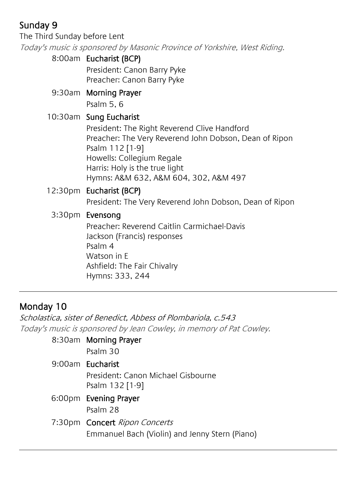# Sunday 9

The Third Sunday before Lent

Today's music is sponsored by Masonic Province of Yorkshire, West Riding.

#### 8:00am Eucharist (BCP)

President: Canon Barry Pyke Preacher: Canon Barry Pyke

9:30am Morning Prayer Psalm 5, 6

#### 10:30am Sung Eucharist

President: The Right Reverend Clive Handford Preacher: The Very Reverend John Dobson, Dean of Ripon Psalm 112 [1-9] Howells: Collegium Regale Harris: Holy is the true light Hymns: A&M 632, A&M 604, 302, A&M 497

#### 12:30pm Eucharist (BCP)

President: The Very Reverend John Dobson, Dean of Ripon

#### 3:30pm Evensong

Preacher: Reverend Caitlin Carmichael-Davis Jackson (Francis) responses Psalm 4 Watson in E Ashfield: The Fair Chivalry Hymns: 333, 244

# Monday 10

Scholastica, sister of Benedict, Abbess of Plombariola, c.543 Today's music is sponsored by Jean Cowley, in memory of Pat Cowley.

| 8:30am Morning Prayer                          |
|------------------------------------------------|
| Psalm 30                                       |
| 9:00am Eucharist                               |
| President: Canon Michael Gisbourne             |
| Psalm 132 [1-9]                                |
| 6:00pm Evening Prayer                          |
| Psalm 28                                       |
| 7:30pm Concert Ripon Concerts                  |
| Emmanuel Bach (Violin) and Jenny Stern (Piano) |
|                                                |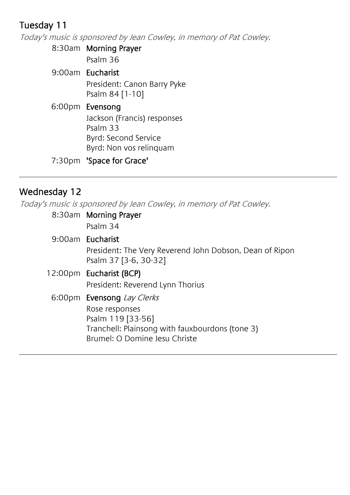# Tuesday 11

Today's music is sponsored by Jean Cowley, in memory of Pat Cowley.

8:30am Morning Prayer

Psalm 36

9:00am Eucharist President: Canon Barry Pyke Psalm 84 [1-10]

#### 6:00pm Evensong Jackson (Francis) responses Psalm 33 Byrd: Second Service Byrd: Non vos relinquam

7:30pm 'Space for Grace'

# Wednesday 12

Today's music is sponsored by Jean Cowley, in memory of Pat Cowley.

| 8:30am Morning Prayer                                                                                                   |
|-------------------------------------------------------------------------------------------------------------------------|
| Psalm 34                                                                                                                |
| 9:00am Eucharist                                                                                                        |
| President: The Very Reverend John Dobson, Dean of Ripon<br>Psalm 37 [3-6, 30-32]                                        |
| 12:00pm Eucharist (BCP)                                                                                                 |
| President: Reverend Lynn Thorius                                                                                        |
| 6:00pm Evensong Lay Clerks                                                                                              |
| Rose responses<br>Psalm 119 [33-56]<br>Tranchell: Plainsong with fauxbourdons (tone 3)<br>Brumel: O Domine Jesu Christe |
|                                                                                                                         |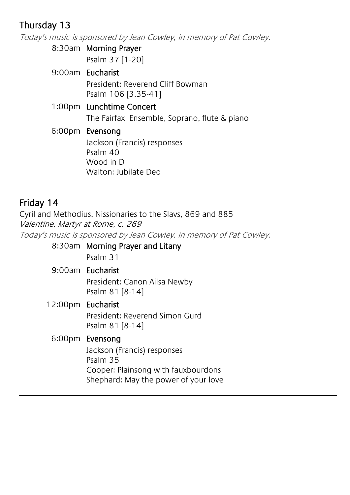# Thursday 13

Today's music is sponsored by Jean Cowley, in memory of Pat Cowley.

8:30am Morning Prayer Psalm 37 [1-20]

9:00am Eucharist President: Reverend Cliff Bowman Psalm 106 [3,35-41] 1:00pm Lunchtime Concert The Fairfax Ensemble, Soprano, flute & piano 6:00pm Evensong Jackson (Francis) responses Psalm 40 Wood in D Walton: Jubilate Deo

# Friday 14

Cyril and Methodius, Nissionaries to the Slavs, 869 and 885 Valentine, Martyr at Rome, c. 269

Today's music is sponsored by Jean Cowley, in memory of Pat Cowley.

8:30am Morning Prayer and Litany Psalm 31

9:00am Eucharist President: Canon Ailsa Newby Psalm 81 [8-14]

#### 12:00pm Eucharist

President: Reverend Simon Gurd Psalm 81 [8-14]

#### 6:00pm Evensong

Jackson (Francis) responses Psalm 35 Cooper: Plainsong with fauxbourdons Shephard: May the power of your love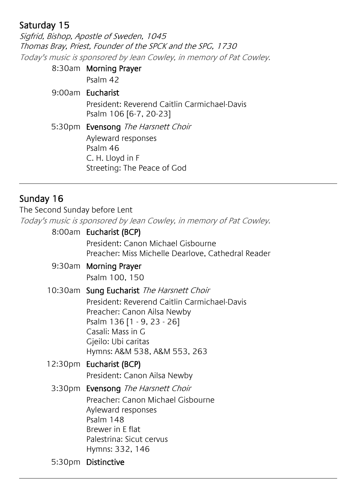# Saturday 15

Sigfrid, Bishop, Apostle of Sweden, 1045 Thomas Bray, Priest, Founder of the SPCK and the SPG, 1730 Today's music is sponsored by Jean Cowley, in memory of Pat Cowley.

| 8:30am Morning Prayer                                                  |
|------------------------------------------------------------------------|
| Psalm 42                                                               |
| 9:00am Eucharist                                                       |
| President: Reverend Caitlin Carmichael-Davis<br>Psalm 106 [6-7, 20-23] |
| 5:30pm Evensong The Harsnett Choir                                     |
| Ayleward responses                                                     |
| Psalm 46                                                               |
| C. H. Lloyd in F                                                       |
| Streeting: The Peace of God                                            |

#### Sunday 16

The Second Sunday before Lent

Today's music is sponsored by Jean Cowley, in memory of Pat Cowley.

| 8:00am Eucharist (BCP)                                                                   |
|------------------------------------------------------------------------------------------|
| President: Canon Michael Gisbourne<br>Preacher: Miss Michelle Dearlove, Cathedral Reader |
| 9:30am Morning Prayer                                                                    |
| Psalm 100, 150                                                                           |
| 10:30am Sung Eucharist The Harsnett Choir                                                |
| President: Reverend Caitlin Carmichael-Davis                                             |

Preacher: Canon Ailsa Newby Psalm 136 [1 - 9, 23 - 26] Casali: Mass in G Gjeilo: Ubi caritas Hymns: A&M 538, A&M 553, 263

#### 12:30pm Eucharist (BCP)

President: Canon Ailsa Newby

3:30pm Evensong The Harsnett Choir Preacher: Canon Michael Gisbourne Ayleward responses Psalm 148 Brewer in E flat Palestrina: Sicut cervus Hymns: 332, 146

5:30pm Distinctive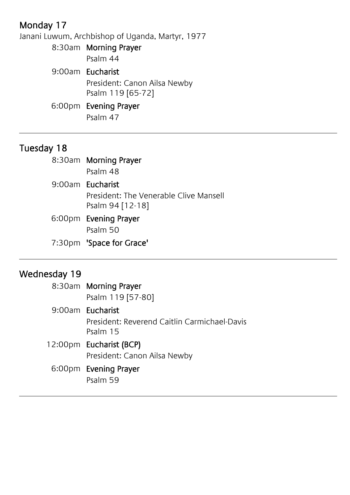# Monday 17

Janani Luwum, Archbishop of Uganda, Martyr, 1977

8:30am Morning Prayer Psalm 44 9:00am Eucharist President: Canon Ailsa Newby Psalm 119 [65-72] 6:00pm Evening Prayer Psalm 47

# Tuesday 18

| 8:30am Morning Prayer                  |
|----------------------------------------|
| Psalm 48                               |
| 9:00am Eucharist                       |
| President: The Venerable Clive Mansell |
| Psalm 94 [12-18]                       |
| 6:00pm Evening Prayer                  |
| Psalm 50                               |
| 7:30pm 'Space for Grace'               |

#### Wednesday 19

| 8:30am Morning Prayer                                    |
|----------------------------------------------------------|
| Psalm 119 [57-80]                                        |
| 9:00am Eucharist                                         |
| President: Reverend Caitlin Carmichael-Davis<br>Psalm 15 |
| 12:00pm Eucharist (BCP)                                  |
| President: Canon Ailsa Newby                             |
| 6:00pm Evening Prayer                                    |
| Psalm 59                                                 |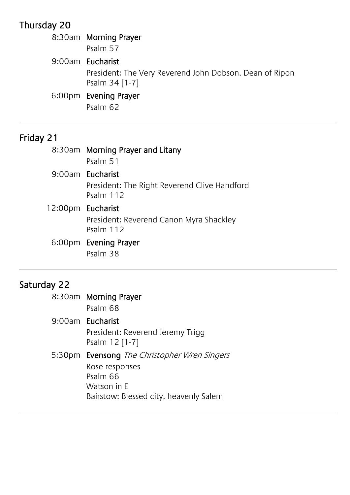# Thursday 20

| 8:30am Morning Prayer                                                     |
|---------------------------------------------------------------------------|
| Psalm 57                                                                  |
| 9:00am Eucharist                                                          |
| President: The Very Reverend John Dobson, Dean of Ripon<br>Psalm 34 [1-7] |
| 6:00pm Evening Prayer                                                     |
| Psalm 62                                                                  |

# Friday 21

|                   | 8:30am Morning Prayer and Litany                          |
|-------------------|-----------------------------------------------------------|
|                   | Psalm 51                                                  |
|                   | 9:00am Eucharist                                          |
|                   | President: The Right Reverend Clive Handford<br>Psalm 112 |
| 12:00pm Eucharist |                                                           |
|                   | President: Reverend Canon Myra Shackley<br>Psalm 112      |
|                   | 6:00pm Evening Prayer                                     |

Psalm 38

# Saturday 22

| 8:30am Morning Prayer<br>Psalm 68                                                                                                   |
|-------------------------------------------------------------------------------------------------------------------------------------|
| 9:00am Eucharist<br>President: Reverend Jeremy Trigg<br>Psalm 12 [1-7]                                                              |
| 5:30pm Evensong The Christopher Wren Singers<br>Rose responses<br>Psalm 66<br>Watson in E<br>Bairstow: Blessed city, heavenly Salem |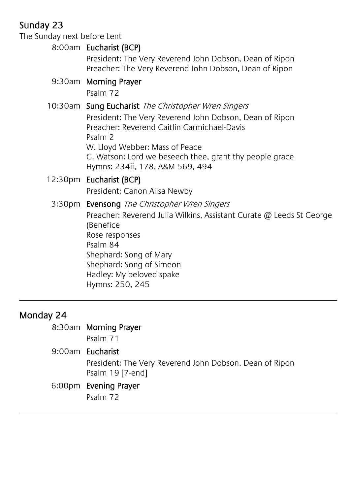# Sunday 23

The Sunday next before Lent

#### 8:00am Eucharist (BCP)

President: The Very Reverend John Dobson, Dean of Ripon Preacher: The Very Reverend John Dobson, Dean of Ripon

#### 9:30am Morning Prayer

Psalm 72

#### 10:30am Sung Eucharist The Christopher Wren Singers

President: The Very Reverend John Dobson, Dean of Ripon Preacher: Reverend Caitlin Carmichael-Davis Psalm 2 W. Lloyd Webber: Mass of Peace G. Watson: Lord we beseech thee, grant thy people grace Hymns: 234ii, 178, A&M 569, 494

#### 12:30pm Eucharist (BCP) President: Canon Ailsa Newby

#### 3:30pm Evensong The Christopher Wren Singers

Preacher: Reverend Julia Wilkins, Assistant Curate @ Leeds St George (Benefice Rose responses Psalm 84 Shephard: Song of Mary Shephard: Song of Simeon Hadley: My beloved spake Hymns: 250, 245

# Monday 24

#### 8:30am Morning Prayer

Psalm 71

#### 9:00am Eucharist

President: The Very Reverend John Dobson, Dean of Ripon Psalm 19 [7-end]

#### 6:00pm Evening Prayer

Psalm 72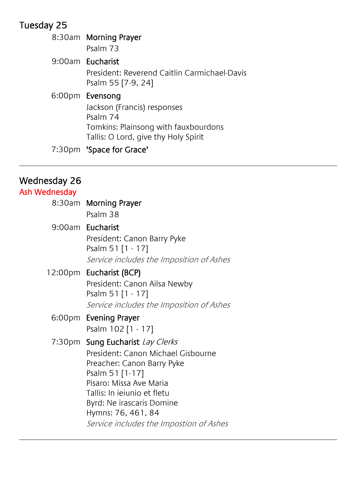# Tuesday 25

| 8:30am Morning Prayer<br>Psalm 73                                                                                                          |
|--------------------------------------------------------------------------------------------------------------------------------------------|
| 9:00am Eucharist                                                                                                                           |
| President: Reverend Caitlin Carmichael-Davis<br>Psalm 55 [7-9, 24]                                                                         |
| 6:00pm Evensong<br>Jackson (Francis) responses<br>Psalm 74<br>Tomkins: Plainsong with fauxbourdons<br>Tallis: O Lord, give thy Holy Spirit |

# 7:30pm 'Space for Grace'

#### Wednesday 26

| Ash Wednesday |                                          |
|---------------|------------------------------------------|
|               | 8:30am Morning Prayer                    |
|               | Psalm 38                                 |
|               | 9:00am Eucharist                         |
|               | President: Canon Barry Pyke              |
|               | Psalm 51 [1 - 17]                        |
|               | Service includes the Imposition of Ashes |
|               | 12:00pm Eucharist (BCP)                  |
|               | President: Canon Ailsa Newby             |
|               | Psalm 51 [1 - 17]                        |
|               | Service includes the Imposition of Ashes |
|               | 6:00pm Evening Prayer                    |
|               | Psalm 102 [1 - 17]                       |
|               | 7:30pm Sung Eucharist Lay Clerks         |
|               | President: Canon Michael Gisbourne       |
|               | Preacher: Canon Barry Pyke               |
|               | Psalm 51 [1-17]                          |
|               | Pisaro: Missa Ave Maria                  |
|               | Tallis: In jeiunio et fletu              |
|               | Byrd: Ne irascaris Domine                |
|               | Hymns: 76, 461, 84                       |
|               | Service includes the Impostion of Ashes  |